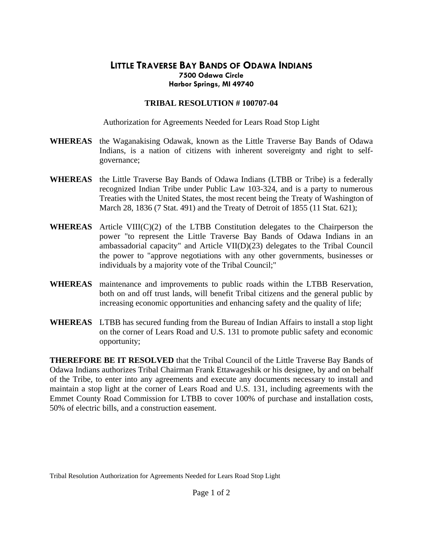## **LITTLE TRAVERSE BAY BANDS OF ODAWA INDIANS 7500 Odawa Circle Harbor Springs, MI 49740**

## **TRIBAL RESOLUTION # 100707-04**

Authorization for Agreements Needed for Lears Road Stop Light

- **WHEREAS** the Waganakising Odawak, known as the Little Traverse Bay Bands of Odawa Indians, is a nation of citizens with inherent sovereignty and right to selfgovernance;
- **WHEREAS** the Little Traverse Bay Bands of Odawa Indians (LTBB or Tribe) is a federally recognized Indian Tribe under Public Law 103-324, and is a party to numerous Treaties with the United States, the most recent being the Treaty of Washington of March 28, 1836 (7 Stat. 491) and the Treaty of Detroit of 1855 (11 Stat. 621);
- **WHEREAS** Article VIII(C)(2) of the LTBB Constitution delegates to the Chairperson the power "to represent the Little Traverse Bay Bands of Odawa Indians in an ambassadorial capacity" and Article VII(D)(23) delegates to the Tribal Council the power to "approve negotiations with any other governments, businesses or individuals by a majority vote of the Tribal Council;"
- **WHEREAS** maintenance and improvements to public roads within the LTBB Reservation, both on and off trust lands, will benefit Tribal citizens and the general public by increasing economic opportunities and enhancing safety and the quality of life;
- **WHEREAS** LTBB has secured funding from the Bureau of Indian Affairs to install a stop light on the corner of Lears Road and U.S. 131 to promote public safety and economic opportunity;

**THEREFORE BE IT RESOLVED** that the Tribal Council of the Little Traverse Bay Bands of Odawa Indians authorizes Tribal Chairman Frank Ettawageshik or his designee, by and on behalf of the Tribe, to enter into any agreements and execute any documents necessary to install and maintain a stop light at the corner of Lears Road and U.S. 131, including agreements with the Emmet County Road Commission for LTBB to cover 100% of purchase and installation costs, 50% of electric bills, and a construction easement.

Tribal Resolution Authorization for Agreements Needed for Lears Road Stop Light